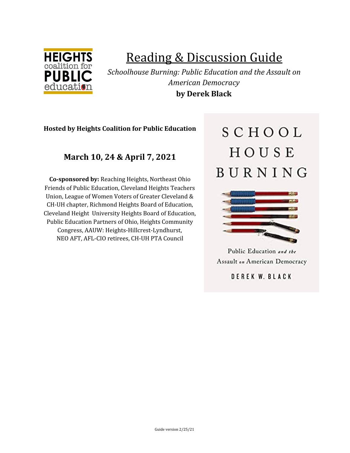

# Reading & Discussion Guide

*Schoolhouse Burning: Public Education and the Assault on American Democracy* **by Derek Black**

# **Hosted by Heights Coalition for Public Education**

# **March 10, 24 & April 7, 2021**

**Co-sponsored by:** Reaching Heights, Northeast Ohio Friends of Public Education, Cleveland Heights Teachers Union, League of Women Voters of Greater Cleveland & CH-UH chapter, Richmond Heights Board of Education, Cleveland Height University Heights Board of Education, Public Education Partners of Ohio, Heights Community Congress, AAUW: Heights-Hillcrest-Lyndhurst, NEO AFT, AFL-CIO retirees, CH-UH PTA Council

# SCHOOL HOUSE BURNING



Public Education and the **Assault on American Democracy** 

DEREK W. BLACK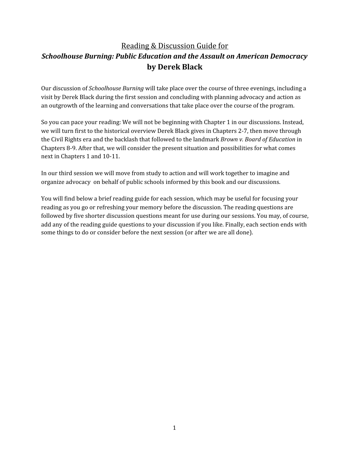# Reading & Discussion Guide for *Schoolhouse Burning: Public Education and the Assault on American Democracy* **by Derek Black**

Our discussion of *Schoolhouse Burning* will take place over the course of three evenings, including a visit by Derek Black during the first session and concluding with planning advocacy and action as an outgrowth of the learning and conversations that take place over the course of the program.

So you can pace your reading: We will not be beginning with Chapter 1 in our discussions. Instead, we will turn first to the historical overview Derek Black gives in Chapters 2-7, then move through the Civil Rights era and the backlash that followed to the landmark *Brown v. Board of Education* in Chapters 8-9. After that, we will consider the present situation and possibilities for what comes next in Chapters 1 and 10-11.

In our third session we will move from study to action and will work together to imagine and organize advocacy on behalf of public schools informed by this book and our discussions.

You will find below a brief reading guide for each session, which may be useful for focusing your reading as you go or refreshing your memory before the discussion. The reading questions are followed by five shorter discussion questions meant for use during our sessions. You may, of course, add any of the reading guide questions to your discussion if you like. Finally, each section ends with some things to do or consider before the next session (or after we are all done).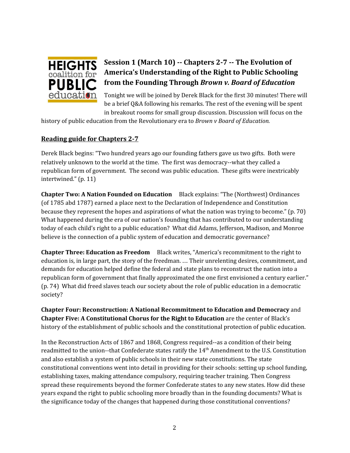

# **Session 1 (March 10) -- Chapters 2-7 -- The Evolution of America's Understanding of the Right to Public Schooling from the Founding Through** *Brown v. Board of Education*

Tonight we will be joined by Derek Black for the first 30 minutes! There will be a brief Q&A following his remarks. The rest of the evening will be spent in breakout rooms for small group discussion. Discussion will focus on the

history of public education from the Revolutionary era to *Brown v Board of Education.*

# **Reading guide for Chapters 2-7**

Derek Black begins: "Two hundred years ago our founding fathers gave us two gifts. Both were relatively unknown to the world at the time. The first was democracy--what they called a republican form of government. The second was public education. These gifts were inextricably intertwined." (p. 11)

**Chapter Two: A Nation Founded on Education** Black explains: "The (Northwest) Ordinances (of 1785 abd 1787) earned a place next to the Declaration of Independence and Constitution because they represent the hopes and aspirations of what the nation was trying to become." (p. 70) What happened during the era of our nation's founding that has contributed to our understanding today of each child's right to a public education? What did Adams, Jefferson, Madison, and Monroe believe is the connection of a public system of education and democratic governance?

**Chapter Three: Education as Freedom** Black writes, "America's recommitment to the right to education is, in large part, the story of the freedman. … Their unrelenting desires, commitment, and demands for education helped define the federal and state plans to reconstruct the nation into a republican form of government that finally approximated the one first envisioned a century earlier." (p. 74) What did freed slaves teach our society about the role of public education in a democratic society?

**Chapter Four: Reconstruction: A National Recommitment to Education and Democracy** and **Chapter Five: A Constitutional Chorus for the Right to Education** are the center of Black's history of the establishment of public schools and the constitutional protection of public education.

In the Reconstruction Acts of 1867 and 1868, Congress required--as a condition of their being readmitted to the union--that Confederate states ratify the  $14^{\text{th}}$  Amendment to the U.S. Constitution and also establish a system of public schools in their new state constitutions. The state constitutional conventions went into detail in providing for their schools: setting up school funding, establishing taxes, making attendance compulsory, requiring teacher training. Then Congress spread these requirements beyond the former Confederate states to any new states. How did these years expand the right to public schooling more broadly than in the founding documents? What is the significance today of the changes that happened during those constitutional conventions?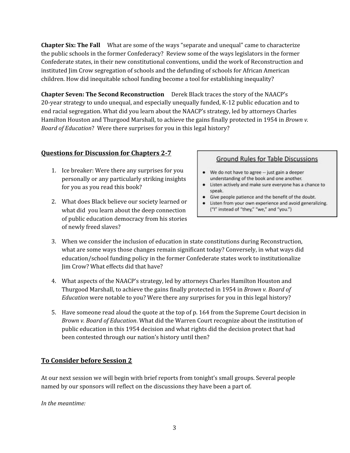**Chapter Six: The Fall** What are some of the ways "separate and unequal" came to characterize the public schools in the former Confederacy? Review some of the ways legislators in the former Confederate states, in their new constitutional conventions, undid the work of Reconstruction and instituted Jim Crow segregation of schools and the defunding of schools for African American children. How did inequitable school funding become a tool for establishing inequality?

**Chapter Seven: The Second Reconstruction** Derek Black traces the story of the NAACP's 20-year strategy to undo unequal, and especially unequally funded, K-12 public education and to end racial segregation. What did you learn about the NAACP's strategy, led by attorneys Charles Hamilton Houston and Thurgood Marshall, to achieve the gains finally protected in 1954 in *Brown v. Board of Education*? Were there surprises for you in this legal history?

# **Questions for Discussion for Chapters 2-7**

- 1. Ice breaker: Were there any surprises for you personally or any particularly striking insights for you as you read this book?
- 2. What does Black believe our society learned or what did you learn about the deep connection of public education democracy from his stories of newly freed slaves?

#### **Ground Rules for Table Discussions**

- We do not have to agree -- just gain a deeper understanding of the book and one another.
- Listen actively and make sure everyone has a chance to speak.
- Give people patience and the benefit of the doubt.
- Listen from your own experience and avoid generalizing. ("I" instead of "they," "we," and "you.")
- 3. When we consider the inclusion of education in state constitutions during Reconstruction, what are some ways those changes remain significant today? Conversely, in what ways did education/school funding policy in the former Confederate states work to institutionalize Jim Crow? What effects did that have?
- 4. What aspects of the NAACP's strategy, led by attorneys Charles Hamilton Houston and Thurgood Marshall, to achieve the gains finally protected in 1954 in *Brown v. Board of Education* were notable to you? Were there any surprises for you in this legal history?
- 5. Have someone read aloud the quote at the top of p. 164 from the Supreme Court decision in *Brown v. Board of Education*. What did the Warren Court recognize about the institution of public education in this 1954 decision and what rights did the decision protect that had been contested through our nation's history until then?

# **To Consider before Session 2**

At our next session we will begin with brief reports from tonight's small groups. Several people named by our sponsors will reflect on the discussions they have been a part of.

*In the meantime:*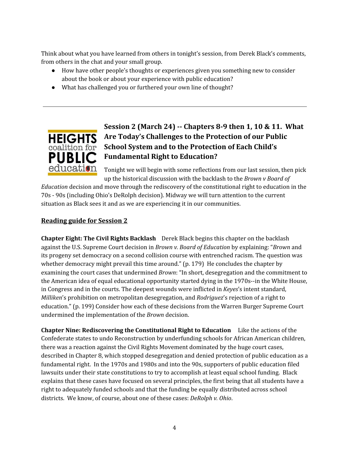Think about what you have learned from others in tonight's session, from Derek Black's comments, from others in the chat and your small group.

- How have other people's thoughts or experiences given you something new to consider about the book or about your experience with public education?
- What has challenged you or furthered your own line of thought?



# **Session 2 (March 24) -- Chapters 8-9 then 1, 10 & 11. What Are Today's Challenges to the Protection of our Public School System and to the Protection of Each Child's Fundamental Right to Education?**

Tonight we will begin with some reflections from our last session, then pick up the historical discussion with the backlash to the *Brown v Board of*

*Education* decision and move through the rediscovery of the constitutional right to education in the 70s - 90s (including Ohio's DeRolph decision). Midway we will turn attention to the current situation as Black sees it and as we are experiencing it in our communities.

# **Reading guide for Session 2**

**Chapter Eight: The Civil Rights Backlash** Derek Black begins this chapter on the backlash against the U.S. Supreme Court decision in *Brown v. Board of Education* by explaining: "*Brown* and its progeny set democracy on a second collision course with entrenched racism. The question was whether democracy might prevail this time around." (p. 179) He concludes the chapter by examining the court cases that undermined *Brown*: "In short, desegregation and the commitment to the American idea of equal educational opportunity started dying in the 1970s--in the White House, in Congress and in the courts. The deepest wounds were inflicted in *Keyes*'s intent standard, *Milliken*'s prohibition on metropolitan desegregation, and *Rodriguez*'s rejection of a right to education." (p. 199) Consider how each of these decisions from the Warren Burger Supreme Court undermined the implementation of the *Brown* decision.

**Chapter Nine: Rediscovering the Constitutional Right to Education** Like the actions of the Confederate states to undo Reconstruction by underfunding schools for African American children, there was a reaction against the Civil Rights Movement dominated by the huge court cases, described in Chapter 8, which stopped desegregation and denied protection of public education as a fundamental right. In the 1970s and 1980s and into the 90s, supporters of public education filed lawsuits under their state constitutions to try to accomplish at least equal school funding. Black explains that these cases have focused on several principles, the first being that all students have a right to adequately funded schools and that the funding be equally distributed across school districts. We know, of course, about one of these cases: *DeRolph v. Ohio*.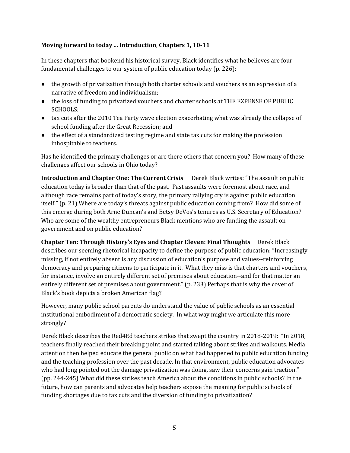#### **Moving forward to today ... Introduction**, **Chapters 1, 10-11**

In these chapters that bookend his historical survey, Black identifies what he believes are four fundamental challenges to our system of public education today (p. 226):

- the growth of privatization through both charter schools and vouchers as an expression of a narrative of freedom and individualism;
- the loss of funding to privatized vouchers and charter schools at THE EXPENSE OF PUBLIC SCHOOLS;
- tax cuts after the 2010 Tea Party wave election exacerbating what was already the collapse of school funding after the Great Recession; and
- the effect of a standardized testing regime and state tax cuts for making the profession inhospitable to teachers.

Has he identified the primary challenges or are there others that concern you? How many of these challenges affect our schools in Ohio today?

**Introduction and Chapter One: The Current Crisis** Derek Black writes: "The assault on public education today is broader than that of the past. Past assaults were foremost about race, and although race remains part of today's story, the primary rallying cry is against public education itself." (p. 21) Where are today's threats against public education coming from? How did some of this emerge during both Arne Duncan's and Betsy DeVos's tenures as U.S. Secretary of Education? Who are some of the wealthy entrepreneurs Black mentions who are funding the assault on government and on public education?

**Chapter Ten: Through History's Eyes and Chapter Eleven: Final Thoughts** Derek Black describes our seeming rhetorical incapacity to define the purpose of public education: "Increasingly missing, if not entirely absent is any discussion of education's purpose and values--reinforcing democracy and preparing citizens to participate in it. What they miss is that charters and vouchers, for instance, involve an entirely different set of premises about education--and for that matter an entirely different set of premises about government." (p. 233) Perhaps that is why the cover of Black's book depicts a broken American flag?

However, many public school parents do understand the value of public schools as an essential institutional embodiment of a democratic society. In what way might we articulate this more strongly?

Derek Black describes the Red4Ed teachers strikes that swept the country in 2018-2019: "In 2018, teachers finally reached their breaking point and started talking about strikes and walkouts. Media attention then helped educate the general public on what had happened to public education funding and the teaching profession over the past decade. In that environment, public education advocates who had long pointed out the damage privatization was doing, saw their concerns gain traction." (pp. 244-245) What did these strikes teach America about the conditions in public schools? In the future, how can parents and advocates help teachers expose the meaning for public schools of funding shortages due to tax cuts and the diversion of funding to privatization?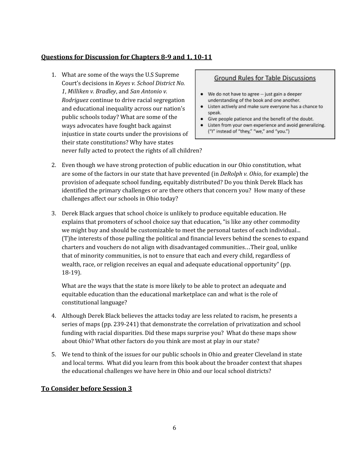# **Questions for Discussion for Chapters 8-9 and 1, 10-11**

1. What are some of the ways the U.S Supreme Court's decisions in *Keyes v. School District No. 1*, *Milliken v. Bradley*, and *San Antonio v. Rodriguez* continue to drive racial segregation and educational inequality across our nation's public schools today? What are some of the ways advocates have fought back against injustice in state courts under the provisions of their state constitutions? Why have states never fully acted to protect the rights of all children?

#### **Ground Rules for Table Discussions**

- We do not have to agree -- just gain a deeper understanding of the book and one another.
- Listen actively and make sure everyone has a chance to speak.
- Give people patience and the benefit of the doubt.  $\bullet$
- Listen from your own experience and avoid generalizing. ("I" instead of "they," "we," and "you.")
- 2. Even though we have strong protection of public education in our Ohio constitution, what are some of the factors in our state that have prevented (in *DeRolph v. Ohio*, for example) the provision of adequate school funding, equitably distributed? Do you think Derek Black has identified the primary challenges or are there others that concern you? How many of these challenges affect our schools in Ohio today?
- 3. Derek Black argues that school choice is unlikely to produce equitable education. He explains that promoters of school choice say that education, "is like any other commodity we might buy and should be customizable to meet the personal tastes of each individual... (T)he interests of those pulling the political and financial levers behind the scenes to expand charters and vouchers do not align with disadvantaged communities…Their goal, unlike that of minority communities, is not to ensure that each and every child, regardless of wealth, race, or religion receives an equal and adequate educational opportunity" (pp. 18-19).

What are the ways that the state is more likely to be able to protect an adequate and equitable education than the educational marketplace can and what is the role of constitutional language?

- 4. Although Derek Black believes the attacks today are less related to racism, he presents a series of maps (pp. 239-241) that demonstrate the correlation of privatization and school funding with racial disparities. Did these maps surprise you? What do these maps show about Ohio? What other factors do you think are most at play in our state?
- 5. We tend to think of the issues for our public schools in Ohio and greater Cleveland in state and local terms. What did you learn from this book about the broader context that shapes the educational challenges we have here in Ohio and our local school districts?

# **To Consider before Session 3**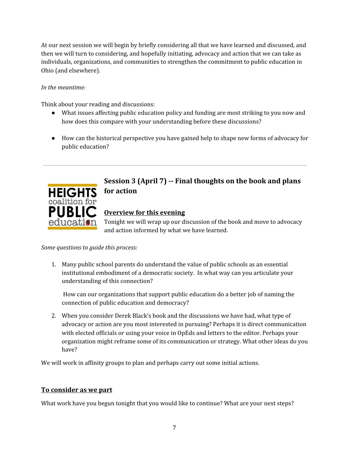At our next session we will begin by briefly considering all that we have learned and discussed, and then we will turn to considering, and hopefully initiating, advocacy and action that we can take as individuals, organizations, and communities to strengthen the commitment to public education in Ohio (and elsewhere).

#### *In the meantime:*

Think about your reading and discussions:

- What issues affecting public education policy and funding are most striking to you now and how does this compare with your understanding before these discussions?
- How can the historical perspective you have gained help to shape new forms of advocacy for public education?



# **Session 3 (April 7) -- Final thoughts on the book and plans for action**

# **Overview for this evening**

Tonight we will wrap up our discussion of the book and move to advocacy and action informed by what we have learned.

#### *Some questions to guide this process:*

1. Many public school parents do understand the value of public schools as an essential institutional embodiment of a democratic society. In what way can you articulate your understanding of this connection?

How can our organizations that support public education do a better job of naming the connection of public education and democracy?

2. When you consider Derek Black's book and the discussions we have had, what type of advocacy or action are you most interested in pursuing? Perhaps it is direct communication with elected officials or using your voice in OpEds and letters to the editor. Perhaps your organization might reframe some of its communication or strategy. What other ideas do you have?

We will work in affinity groups to plan and perhaps carry out some initial actions.

# **To consider as we part**

What work have you begun tonight that you would like to continue? What are your next steps?